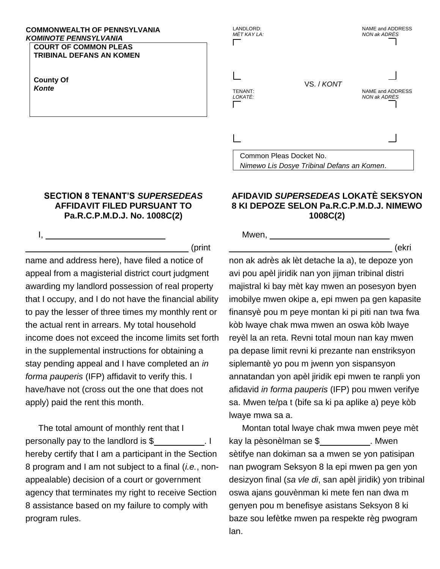## **COMMONWEALTH OF PENNSYLVANIA KOMINOTE PENNSYLVANIA**

**COURT OF COMMON PLEAS TRIBINAL DEFANS AN KOMEN** 

**County Of** Konte

 $\mathbf{L}$ 

## **SECTION 8 TENANT'S SUPERSEDEAS AFFIDAVIT FILED PURSUANT TO** Pa.R.C.P.M.D.J. No. 1008C(2)

(print name and address here), have filed a notice of appeal from a magisterial district court judgment awarding my landlord possession of real property that I occupy, and I do not have the financial ability to pay the lesser of three times my monthly rent or the actual rent in arrears. My total household income does not exceed the income limits set forth in the supplemental instructions for obtaining a stay pending appeal and I have completed an in forma pauperis (IFP) affidavit to verify this. I have/have not (cross out the one that does not apply) paid the rent this month.

The total amount of monthly rent that I  $\cdot$  1 personally pay to the landlord is \$ hereby certify that I am a participant in the Section 8 program and I am not subject to a final *(i.e., non*appealable) decision of a court or government agency that terminates my right to receive Section 8 assistance based on my failure to comply with program rules.

## AFIDAVID SUPERSEDEAS LOKATÈ SEKSYON 8 KI DEPOZE SELON Pa.R.C.P.M.D.J. NIMEWO 1008C(2)

Nimewo Lis Dosye Tribinal Defans an Komen.

VS. / KONT

NAME and ADDRESS

NAME and ADDRESS

(ekri

**NON ak ADRÈS** 

NON ak ADRÈS

Mwen, \_

Common Pleas Docket No.

LANDLORD:

TENANT:

LOKATÈ:

MÈT KAY LA:

non ak adrès ak lèt detache la a), te depoze yon avi pou apèl jiridik nan yon jijman tribinal distri majistral ki bay mèt kay mwen an posesyon byen imobilye mwen okipe a, epi mwen pa gen kapasite finansyè pou m peye montan ki pi piti nan twa fwa kòb lwaye chak mwa mwen an oswa kòb lwaye reyèl la an reta. Revni total moun nan kay mwen pa depase limit revni ki prezante nan enstriksyon siplemantè yo pou m jwenn yon sispansyon annatandan yon apèl jiridik epi mwen te ranpli yon afidavid in forma pauperis (IFP) pou mwen verifye sa. Mwen te/pa t (bife sa ki pa aplike a) peye kòb Iwaye mwa sa a.

Montan total lwaye chak mwa mwen peye mèt kay la pèsonèlman se \$ \_\_\_\_\_\_\_\_\_\_\_\_. Mwen sètifye nan dokiman sa a mwen se yon patisipan nan pwogram Seksyon 8 la epi mwen pa gen yon desizyon final (sa vle di, san apèl jiridik) yon tribinal oswa ajans gouvènman ki mete fen nan dwa m genyen pou m benefisye asistans Seksyon 8 ki baze sou lefètke mwen pa respekte règ pwogram lan.